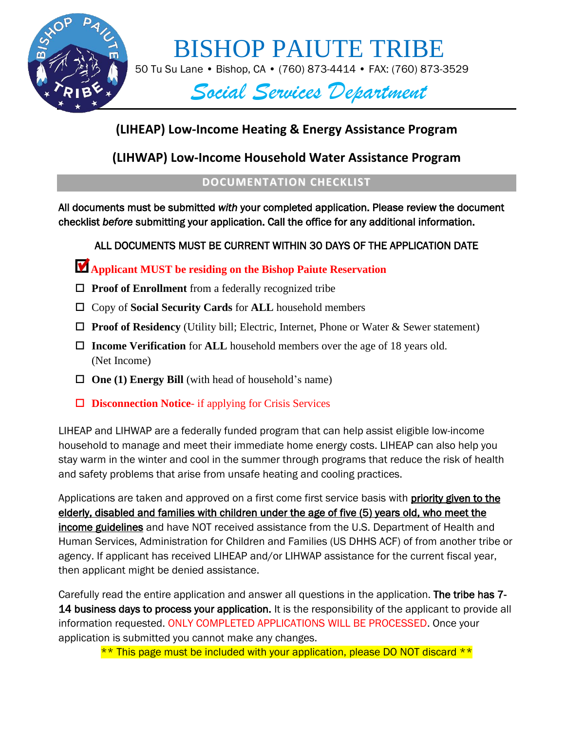

# BISHOP PAIUTE TRIBE

50 Tu Su Lane • Bishop, CA • (760) 873-4414 • FAX: (760) 873-3529

## *Social Services Department*

## **(LIHEAP) Low-Income Heating & Energy Assistance Program**

**(LIHWAP) Low-Income Household Water Assistance Program**

## **DOCUMENTATION CHECKLIST**

All documents must be submitted *with* your completed application. Please review the document checklist *before* submitting your application. Call the office for any additional information.

## ALL DOCUMENTS MUST BE CURRENT WITHIN 30 DAYS OF THE APPLICATION DATE

## **Applicant MUST be residing on the Bishop Paiute Reservation**

- □ **Proof of Enrollment** from a federally recognized tribe
- □ Copy of **Social Security Cards** for **ALL** household members
- **Proof of Residency** (Utility bill; Electric, Internet, Phone or Water & Sewer statement)
- **Income Verification** for **ALL** household members over the age of 18 years old. (Net Income)
- $\Box$  **One (1) Energy Bill** (with head of household's name)
- **Disconnection Notice** if applying for Crisis Services

LIHEAP and LIHWAP are a federally funded program that can help assist eligible low-income household to manage and meet their immediate home energy costs. LIHEAP can also help you stay warm in the winter and cool in the summer through programs that reduce the risk of health and safety problems that arise from unsafe heating and cooling practices.

Applications are taken and approved on a first come first service basis with **priority given to the** elderly, disabled and families with children under the age of five (5) years old, who meet the income guidelines and have NOT received assistance from the U.S. Department of Health and Human Services, Administration for Children and Families (US DHHS ACF) of from another tribe or agency. If applicant has received LIHEAP and/or LIHWAP assistance for the current fiscal year, then applicant might be denied assistance.

Carefully read the entire application and answer all questions in the application. The tribe has 7- 14 business days to process your application. It is the responsibility of the applicant to provide all information requested. ONLY COMPLETED APPLICATIONS WILL BE PROCESSED. Once your application is submitted you cannot make any changes.

\*\* This page must be included with your application, please DO NOT discard \*\*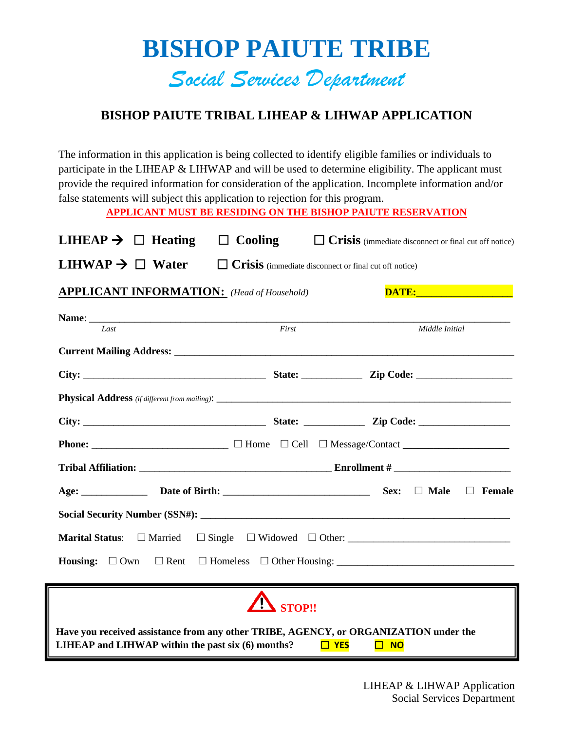# **BISHOP PAIUTE TRIBE** *Social Services Department*

## **BISHOP PAIUTE TRIBAL LIHEAP & LIHWAP APPLICATION**

The information in this application is being collected to identify eligible families or individuals to participate in the LIHEAP & LIHWAP and will be used to determine eligibility. The applicant must provide the required information for consideration of the application. Incomplete information and/or false statements will subject this application to rejection for this program.

**APPLICANT MUST BE RESIDING ON THE BISHOP PAIUTE RESERVATION**

| LIHEAP $\rightarrow$ $\Box$ Heating                                                                                                       | $\Box$ Cooling                                               |                         | $\Box$ Crisis (immediate disconnect or final cut off notice)                                                   |
|-------------------------------------------------------------------------------------------------------------------------------------------|--------------------------------------------------------------|-------------------------|----------------------------------------------------------------------------------------------------------------|
| LIHWAP $\rightarrow$ $\Box$ Water                                                                                                         | $\Box$ Crisis (immediate disconnect or final cut off notice) |                         |                                                                                                                |
| <b>APPLICANT INFORMATION:</b> (Head of Household)                                                                                         |                                                              |                         | DATE: New York Contract of the Contract of the Contract of the Contract of the Contract of the Contract of the |
| Last                                                                                                                                      | $\overline{First}$                                           |                         | Middle Initial                                                                                                 |
|                                                                                                                                           |                                                              |                         |                                                                                                                |
|                                                                                                                                           |                                                              |                         |                                                                                                                |
|                                                                                                                                           |                                                              |                         |                                                                                                                |
|                                                                                                                                           |                                                              |                         |                                                                                                                |
|                                                                                                                                           |                                                              |                         |                                                                                                                |
|                                                                                                                                           |                                                              |                         |                                                                                                                |
|                                                                                                                                           |                                                              |                         |                                                                                                                |
|                                                                                                                                           |                                                              |                         |                                                                                                                |
|                                                                                                                                           |                                                              |                         |                                                                                                                |
|                                                                                                                                           |                                                              |                         |                                                                                                                |
|                                                                                                                                           | STOP!!                                                       |                         |                                                                                                                |
| Have you received assistance from any other TRIBE, AGENCY, or ORGANIZATION under the<br>LIHEAP and LIHWAP within the past six (6) months? |                                                              | $\Box$ YES<br>$\Box$ NO |                                                                                                                |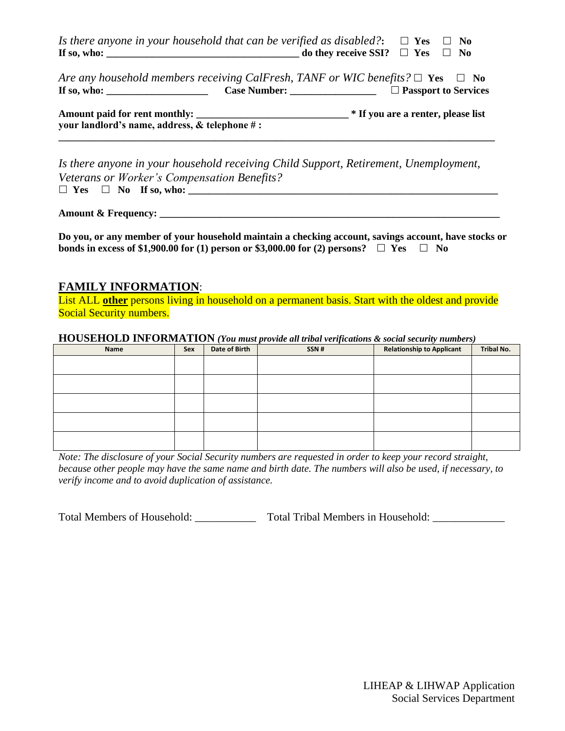*Is there anyone in your household that can be verified as disabled?*  $\Box$  **Yes**  $\Box$  **No If so, who:**  $\qquad \qquad$  **If so, who:**  $\qquad \qquad$  **No** 

*Are any household members receiving CalFresh, TANF or WIC benefits?*  $\Box$  **Yes**  $\Box$  **No If so, who: \_\_\_\_\_\_\_\_\_\_\_\_\_\_\_\_\_\_\_\_ Case Number: \_\_\_\_\_\_\_\_\_\_\_\_\_\_\_\_\_ Passport to Services**

**Amount paid for rent monthly: \_\_\_\_\_\_\_\_\_\_\_\_\_\_\_\_\_\_\_\_\_\_\_\_\_\_\_\_\_\_ \* If you are a renter, please list your landlord's name, address, & telephone # : \_\_\_\_\_\_\_\_\_\_\_\_\_\_\_\_\_\_\_\_\_\_\_\_\_\_\_\_\_\_\_\_\_\_\_\_\_\_\_\_\_\_\_\_\_\_\_\_\_\_\_\_\_\_\_\_\_\_\_\_\_\_\_\_\_\_\_\_\_\_\_\_\_\_\_\_\_\_\_\_\_\_\_\_\_\_**

*Is there anyone in your household receiving Child Support, Retirement, Unemployment, Veterans or Worker's Compensation Benefits?*  $\Box$  Yes  $\Box$  No If so, who:

**Amount & Frequency: \_\_\_\_\_\_\_\_\_\_\_\_\_\_\_\_\_\_\_\_\_\_\_\_\_\_\_\_\_\_\_\_\_\_\_\_\_\_\_\_\_\_\_\_\_\_\_\_\_\_\_\_\_\_\_\_\_\_\_\_\_\_\_\_\_\_\_**

**Do you, or any member of your household maintain a checking account, savings account, have stocks or bonds in excess of \$1,900.00 for (1) person or \$3,000.00 for (2) persons?**  $\Box$  Yes  $\Box$  No

#### **FAMILY INFORMATION**:

List ALL **other** persons living in household on a permanent basis. Start with the oldest and provide Social Security numbers.

#### **HOUSEHOLD INFORMATION** *(You must provide all tribal verifications & social security numbers)*

| Name | Sex | Date of Birth | $\cdot$<br>SSN# | $\overline{\phantom{a}}$<br><b>Relationship to Applicant</b> | Tribal No. |
|------|-----|---------------|-----------------|--------------------------------------------------------------|------------|
|      |     |               |                 |                                                              |            |
|      |     |               |                 |                                                              |            |
|      |     |               |                 |                                                              |            |
|      |     |               |                 |                                                              |            |
|      |     |               |                 |                                                              |            |
|      |     |               |                 |                                                              |            |
|      |     |               |                 |                                                              |            |
|      |     |               |                 |                                                              |            |
|      |     |               |                 |                                                              |            |
|      |     |               |                 |                                                              |            |

*Note: The disclosure of your Social Security numbers are requested in order to keep your record straight, because other people may have the same name and birth date. The numbers will also be used, if necessary, to verify income and to avoid duplication of assistance.*

Total Members of Household: \_\_\_\_\_\_\_\_\_\_\_\_\_\_ Total Tribal Members in Household: \_\_\_\_\_\_\_\_\_\_\_\_\_\_\_\_\_\_\_\_\_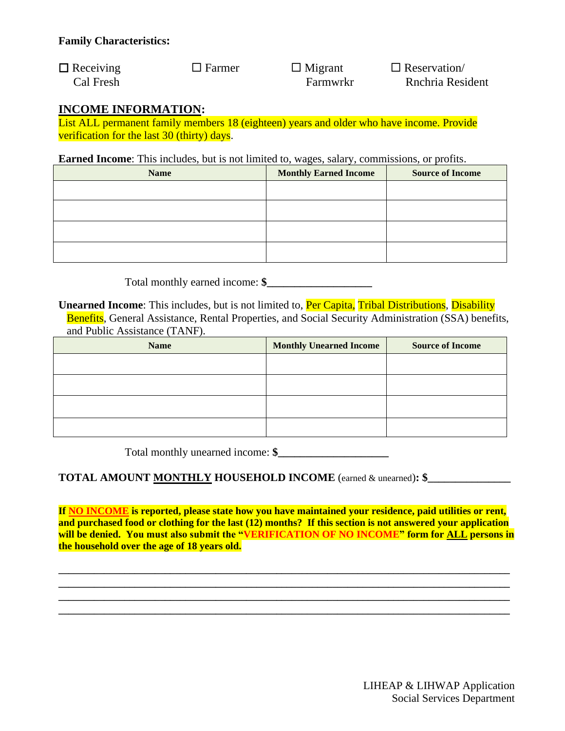$\Box$  Receiving  $\Box$  Farmer  $\Box$  Migrant  $\Box$  Reservation Cal Fresh Farmwrkr Rnchria Resident

### **INCOME INFORMATION:**

List ALL permanent family members 18 (eighteen) years and older who have income. Provide verification for the last 30 (thirty) days.

**Earned Income**: This includes, but is not limited to, wages, salary, commissions, or profits.

| <b>Name</b> | <b>Monthly Earned Income</b> | <b>Source of Income</b> |
|-------------|------------------------------|-------------------------|
|             |                              |                         |
|             |                              |                         |
|             |                              |                         |
|             |                              |                         |

Total monthly earned income: **\$\_\_\_\_\_\_\_\_\_\_\_\_\_\_\_\_\_\_\_**

**Unearned Income**: This includes, but is not limited to, **Per Capita, Tribal Distributions**, **Disability** 

Benefits, General Assistance, Rental Properties, and Social Security Administration (SSA) benefits, and Public Assistance (TANF).

| <b>Name</b> | <b>Monthly Unearned Income</b> | <b>Source of Income</b> |
|-------------|--------------------------------|-------------------------|
|             |                                |                         |
|             |                                |                         |
|             |                                |                         |
|             |                                |                         |

Total monthly unearned income:  $\frac{2}{\sqrt{2}}$ 

#### **TOTAL AMOUNT MONTHLY HOUSEHOLD INCOME** (earned & unearned)**: \$\_\_\_\_\_\_\_\_\_\_\_\_\_\_\_**

**If NO INCOME is reported, please state how you have maintained your residence, paid utilities or rent, and purchased food or clothing for the last (12) months? If this section is not answered your application will be denied. You must also submit the "VERIFICATION OF NO INCOME" form for ALL persons in the household over the age of 18 years old.**

**\_\_\_\_\_\_\_\_\_\_\_\_\_\_\_\_\_\_\_\_\_\_\_\_\_\_\_\_\_\_\_\_\_\_\_\_\_\_\_\_\_\_\_\_\_\_\_\_\_\_\_\_\_\_\_\_\_\_\_\_\_\_\_\_\_\_\_\_\_\_\_\_\_\_\_\_\_\_\_\_\_\_\_\_\_\_\_\_\_ \_\_\_\_\_\_\_\_\_\_\_\_\_\_\_\_\_\_\_\_\_\_\_\_\_\_\_\_\_\_\_\_\_\_\_\_\_\_\_\_\_\_\_\_\_\_\_\_\_\_\_\_\_\_\_\_\_\_\_\_\_\_\_\_\_\_\_\_\_\_\_\_\_\_\_\_\_\_\_\_\_\_\_\_\_\_\_\_\_ \_\_\_\_\_\_\_\_\_\_\_\_\_\_\_\_\_\_\_\_\_\_\_\_\_\_\_\_\_\_\_\_\_\_\_\_\_\_\_\_\_\_\_\_\_\_\_\_\_\_\_\_\_\_\_\_\_\_\_\_\_\_\_\_\_\_\_\_\_\_\_\_\_\_\_\_\_\_\_\_\_\_\_\_\_\_\_\_\_ \_\_\_\_\_\_\_\_\_\_\_\_\_\_\_\_\_\_\_\_\_\_\_\_\_\_\_\_\_\_\_\_\_\_\_\_\_\_\_\_\_\_\_\_\_\_\_\_\_\_\_\_\_\_\_\_\_\_\_\_\_\_\_\_\_\_\_\_\_\_\_\_\_\_\_\_\_\_\_\_\_\_\_\_\_\_\_\_\_**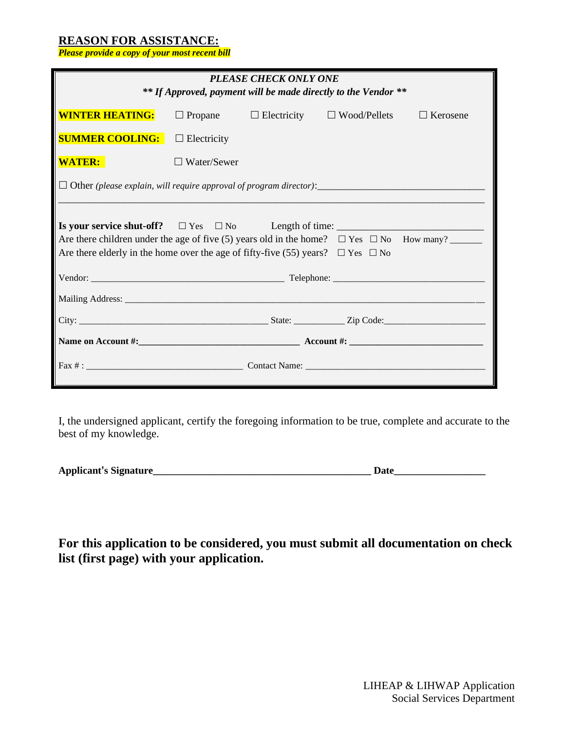#### **REASON FOR ASSISTANCE:**

*Please provide a copy of your most recent bill*

| <b>PLEASE CHECK ONLY ONE</b><br>** If Approved, payment will be made directly to the Vendor **                                                                                                  |                    |  |                                                       |                 |
|-------------------------------------------------------------------------------------------------------------------------------------------------------------------------------------------------|--------------------|--|-------------------------------------------------------|-----------------|
| <b>WINTER HEATING:</b>                                                                                                                                                                          |                    |  | $\Box$ Propane $\Box$ Electricity $\Box$ Wood/Pellets | $\Box$ Kerosene |
| <b>SUMMER COOLING:</b>                                                                                                                                                                          | $\Box$ Electricity |  |                                                       |                 |
| <b>WATER:</b>                                                                                                                                                                                   | $\Box$ Water/Sewer |  |                                                       |                 |
|                                                                                                                                                                                                 |                    |  |                                                       |                 |
| Are there children under the age of five (5) years old in the home? $\Box$ Yes $\Box$ No How many?<br>Are there elderly in the home over the age of fifty-five (55) years? $\Box$ Yes $\Box$ No |                    |  |                                                       |                 |
|                                                                                                                                                                                                 |                    |  |                                                       |                 |
|                                                                                                                                                                                                 |                    |  |                                                       |                 |
|                                                                                                                                                                                                 |                    |  |                                                       |                 |
|                                                                                                                                                                                                 |                    |  |                                                       |                 |
|                                                                                                                                                                                                 |                    |  |                                                       |                 |

I, the undersigned applicant, certify the foregoing information to be true, complete and accurate to the best of my knowledge.

**For this application to be considered, you must submit all documentation on check list (first page) with your application.**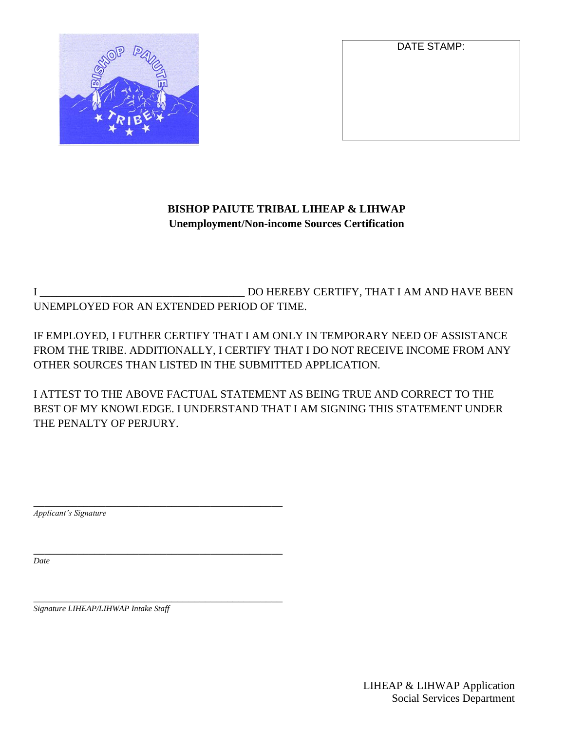

DATE STAMP:

## **BISHOP PAIUTE TRIBAL LIHEAP & LIHWAP Unemployment/Non-income Sources Certification**

I \_\_\_\_\_\_\_\_\_\_\_\_\_\_\_\_\_\_\_\_\_\_\_\_\_\_\_\_\_\_\_\_\_\_\_\_\_ DO HEREBY CERTIFY, THAT I AM AND HAVE BEEN UNEMPLOYED FOR AN EXTENDED PERIOD OF TIME.

IF EMPLOYED, I FUTHER CERTIFY THAT I AM ONLY IN TEMPORARY NEED OF ASSISTANCE FROM THE TRIBE. ADDITIONALLY, I CERTIFY THAT I DO NOT RECEIVE INCOME FROM ANY OTHER SOURCES THAN LISTED IN THE SUBMITTED APPLICATION.

I ATTEST TO THE ABOVE FACTUAL STATEMENT AS BEING TRUE AND CORRECT TO THE BEST OF MY KNOWLEDGE. I UNDERSTAND THAT I AM SIGNING THIS STATEMENT UNDER THE PENALTY OF PERJURY.

\_\_\_\_\_\_\_\_\_\_\_\_\_\_\_\_\_\_\_\_\_\_\_\_\_\_\_\_\_\_\_\_\_\_\_\_\_\_\_\_\_\_\_\_\_ *Applicant's Signature*

*Date*

\_\_\_\_\_\_\_\_\_\_\_\_\_\_\_\_\_\_\_\_\_\_\_\_\_\_\_\_\_\_\_\_\_\_\_\_\_\_\_\_\_\_\_\_\_ *Signature LIHEAP/LIHWAP Intake Staff*

\_\_\_\_\_\_\_\_\_\_\_\_\_\_\_\_\_\_\_\_\_\_\_\_\_\_\_\_\_\_\_\_\_\_\_\_\_\_\_\_\_\_\_\_\_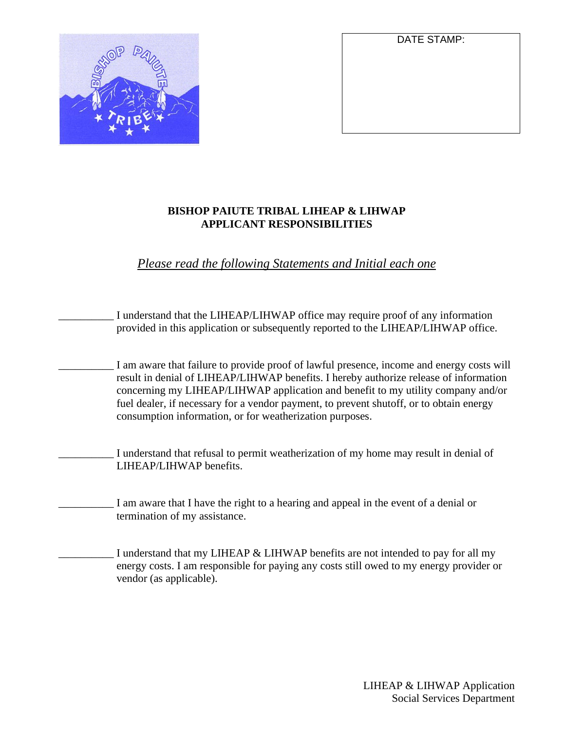

#### DATE STAMP:

#### **BISHOP PAIUTE TRIBAL LIHEAP & LIHWAP APPLICANT RESPONSIBILITIES**

*Please read the following Statements and Initial each one*



I understand that my LIHEAP & LIHWAP benefits are not intended to pay for all my energy costs. I am responsible for paying any costs still owed to my energy provider or vendor (as applicable).